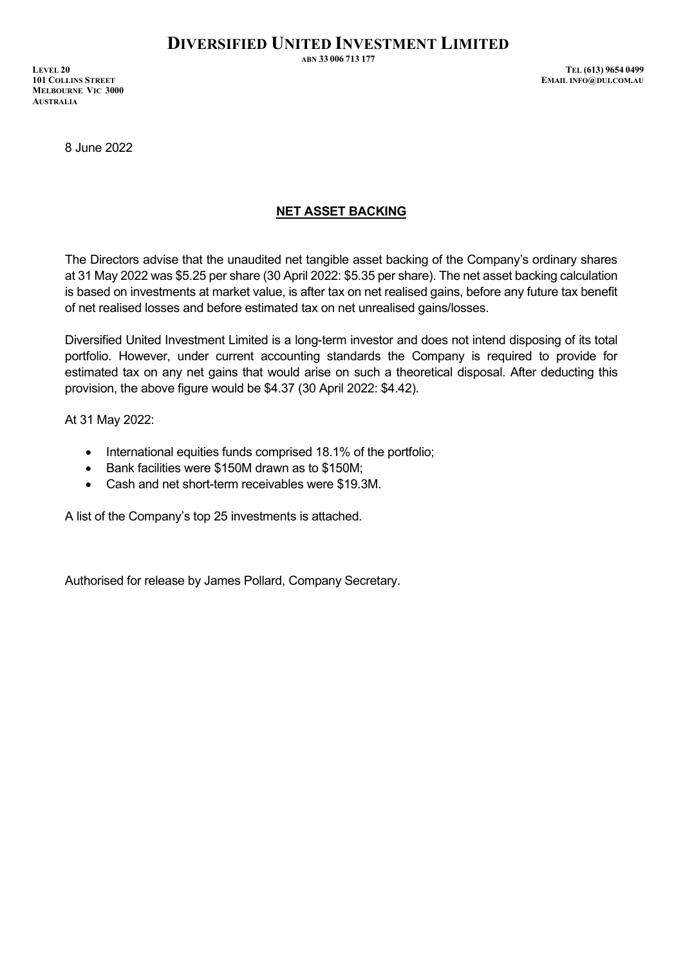**MELBOURNE VIC 3000 AUSTRALIA**

8 June 2022

## **NET ASSET BACKING**

The Directors advise that the unaudited net tangible asset backing of the Company's ordinary shares at 31 May 2022 was \$5.25 per share (30 April 2022: \$5.35 per share). The net asset backing calculation is based on investments at market value, is after tax on net realised gains, before any future tax benefit of net realised losses and before estimated tax on net unrealised gains/losses.

Diversified United Investment Limited is a long-term investor and does not intend disposing of its total portfolio. However, under current accounting standards the Company is required to provide for estimated tax on any net gains that would arise on such a theoretical disposal. After deducting this provision, the above figure would be \$4.37 (30 April 2022: \$4.42).

At 31 May 2022:

- International equities funds comprised 18.1% of the portfolio;
- Bank facilities were \$150M drawn as to \$150M;
- Cash and net short-term receivables were \$19.3M.

A list of the Company's top 25 investments is attached.

Authorised for release by James Pollard, Company Secretary.